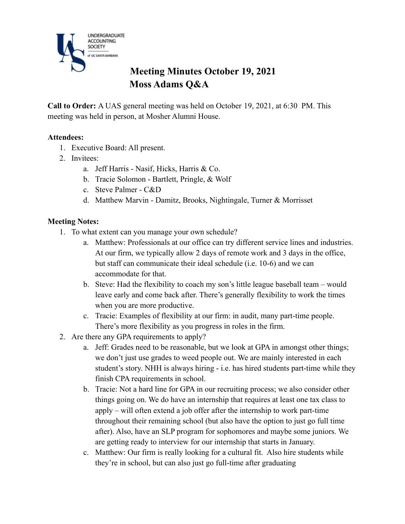

# **Meeting Minutes October 19, 2021 Moss Adams Q&A**

**Call to Order:** A UAS general meeting was held on October 19, 2021, at 6:30 PM. This meeting was held in person, at Mosher Alumni House.

## **Attendees:**

- 1. Executive Board: All present.
- 2. Invitees:
	- a. Jeff Harris Nasif, Hicks, Harris & Co.
	- b. Tracie Solomon Bartlett, Pringle, & Wolf
	- c. Steve Palmer C&D
	- d. Matthew Marvin Damitz, Brooks, Nightingale, Turner & Morrisset

## **Meeting Notes:**

- 1. To what extent can you manage your own schedule?
	- a. Matthew: Professionals at our office can try different service lines and industries. At our firm, we typically allow 2 days of remote work and 3 days in the office, but staff can communicate their ideal schedule (i.e. 10-6) and we can accommodate for that.
	- b. Steve: Had the flexibility to coach my son's little league baseball team would leave early and come back after. There's generally flexibility to work the times when you are more productive.
	- c. Tracie: Examples of flexibility at our firm: in audit, many part-time people. There's more flexibility as you progress in roles in the firm.
- 2. Are there any GPA requirements to apply?
	- a. Jeff: Grades need to be reasonable, but we look at GPA in amongst other things; we don't just use grades to weed people out. We are mainly interested in each student's story. NHH is always hiring - i.e. has hired students part-time while they finish CPA requirements in school.
	- b. Tracie: Not a hard line for GPA in our recruiting process; we also consider other things going on. We do have an internship that requires at least one tax class to apply – will often extend a job offer after the internship to work part-time throughout their remaining school (but also have the option to just go full time after). Also, have an SLP program for sophomores and maybe some juniors. We are getting ready to interview for our internship that starts in January.
	- c. Matthew: Our firm is really looking for a cultural fit. Also hire students while they're in school, but can also just go full-time after graduating